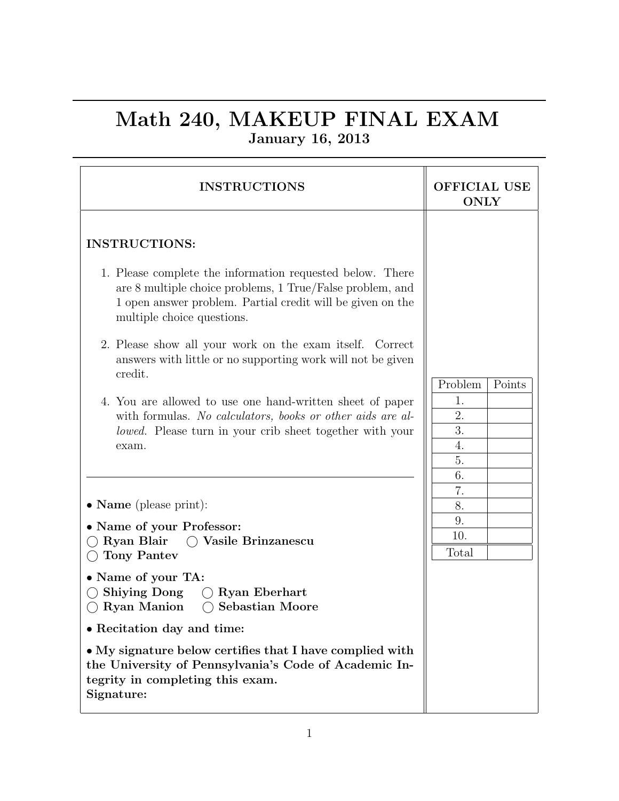## Math 240, MAKEUP FINAL EXAM January 16, 2013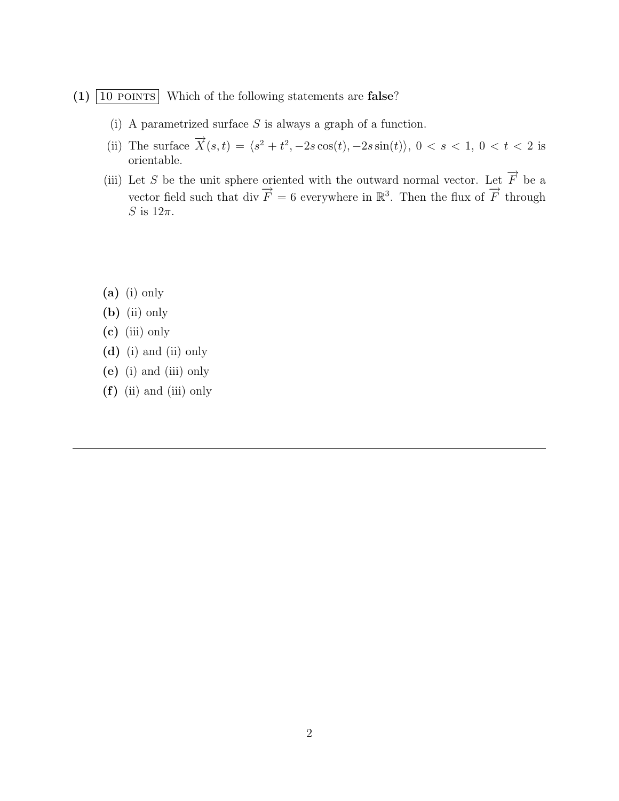## $(1)$  10 POINTS Which of the following statements are **false**?

- (i) A parametrized surface  $S$  is always a graph of a function.
- (ii) The surface  $\vec{X}(s,t) = \langle s^2 + t^2, -2s \cos(t), -2s \sin(t) \rangle$ ,  $0 < s < 1$ ,  $0 < t < 2$  is orientable.
- (iii) Let S be the unit sphere oriented with the outward normal vector. Let  $\overrightarrow{F}$  be a vector field such that div  $\vec{F} = 6$  everywhere in  $\mathbb{R}^3$ . Then the flux of  $\vec{F}$  through S is  $12\pi$ .
- $(a)$  (i) only
- (b) (ii) only
- (c) (iii) only
- (d) (i) and (ii) only
- (e) (i) and (iii) only
- (f) (ii) and (iii) only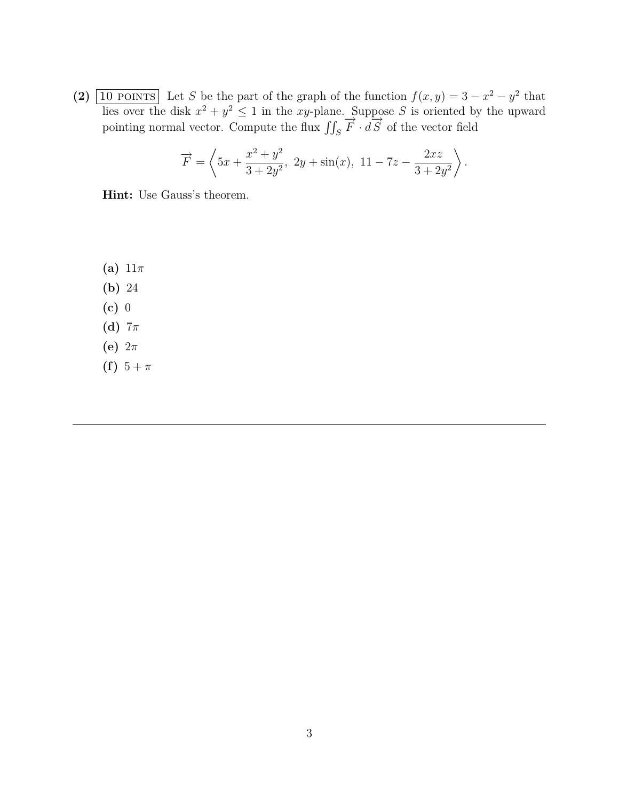(2)  $\boxed{10 \text{ POINTS}}$  Let S be the part of the graph of the function  $f(x, y) = 3 - x^2 - y^2$  that lies over the disk  $x^2 + y^2 \le 1$  in the xy-plane. Suppose S is oriented by the upward pointing normal vector. Compute the flux  $\iint_S \vec{F} \cdot d\vec{S}$  of the vector field

$$
\overrightarrow{F} = \left\langle 5x + \frac{x^2 + y^2}{3 + 2y^2}, \ 2y + \sin(x), \ 11 - 7z - \frac{2xz}{3 + 2y^2} \right\rangle.
$$

Hint: Use Gauss's theorem.

(a)  $11\pi$ (b) 24 (c) 0 (d)  $7\pi$ (e)  $2\pi$ (f)  $5 + \pi$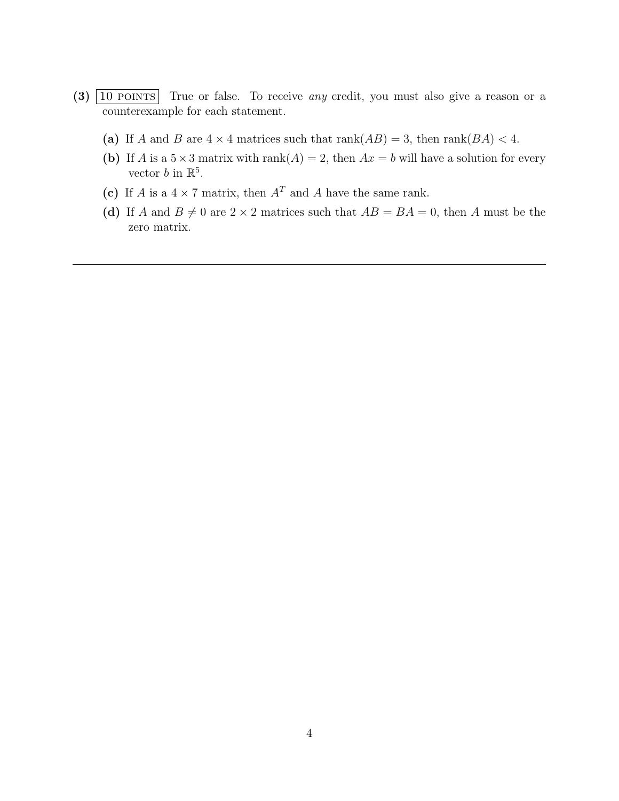- $(3)$   $\boxed{10 \text{ POINTS}}$  True or false. To receive *any* credit, you must also give a reason or a counterexample for each statement.
	- (a) If A and B are  $4 \times 4$  matrices such that rank( $AB$ ) = 3, then rank( $BA$ ) < 4.
	- (b) If A is a  $5 \times 3$  matrix with rank $(A) = 2$ , then  $Ax = b$  will have a solution for every vector *b* in  $\mathbb{R}^5$ .
	- (c) If A is a  $4 \times 7$  matrix, then  $A<sup>T</sup>$  and A have the same rank.
	- (d) If A and  $B \neq 0$  are  $2 \times 2$  matrices such that  $AB = BA = 0$ , then A must be the zero matrix.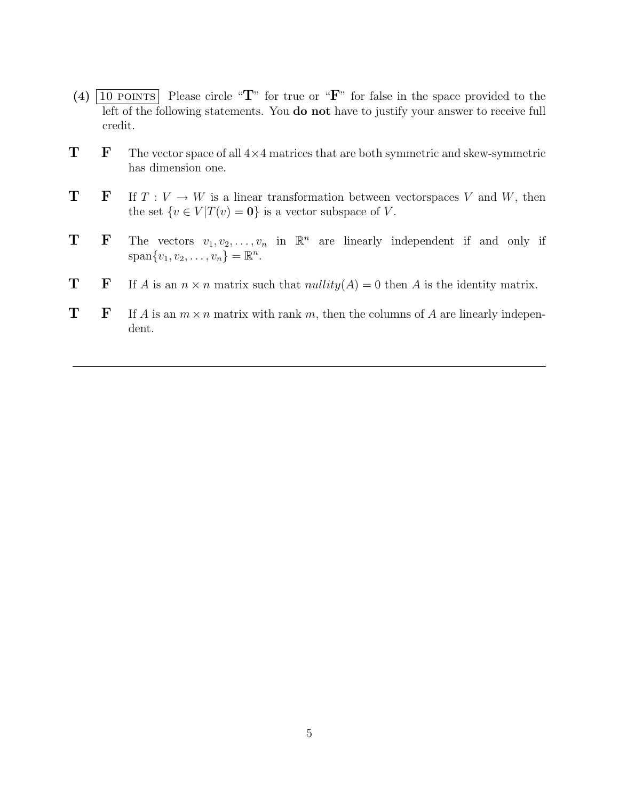- (4)  $\boxed{10 \text{ POINTS}}$  Please circle "T" for true or "F" for false in the space provided to the left of the following statements. You do not have to justify your answer to receive full credit.
- $T$  F The vector space of all  $4\times 4$  matrices that are both symmetric and skew-symmetric has dimension one.
- **T F** If  $T : V \to W$  is a linear transformation between vectorspaces V and W, then the set  $\{v \in V | T(v) = 0\}$  is a vector subspace of V.
- **T** F The vectors  $v_1, v_2, \ldots, v_n$  in  $\mathbb{R}^n$  are linearly independent if and only if  $span\{v_1, v_2, \ldots, v_n\} = \mathbb{R}^n$ .
- **T** If A is an  $n \times n$  matrix such that  $nullity(A) = 0$  then A is the identity matrix.
- **T** If A is an  $m \times n$  matrix with rank m, then the columns of A are linearly independent.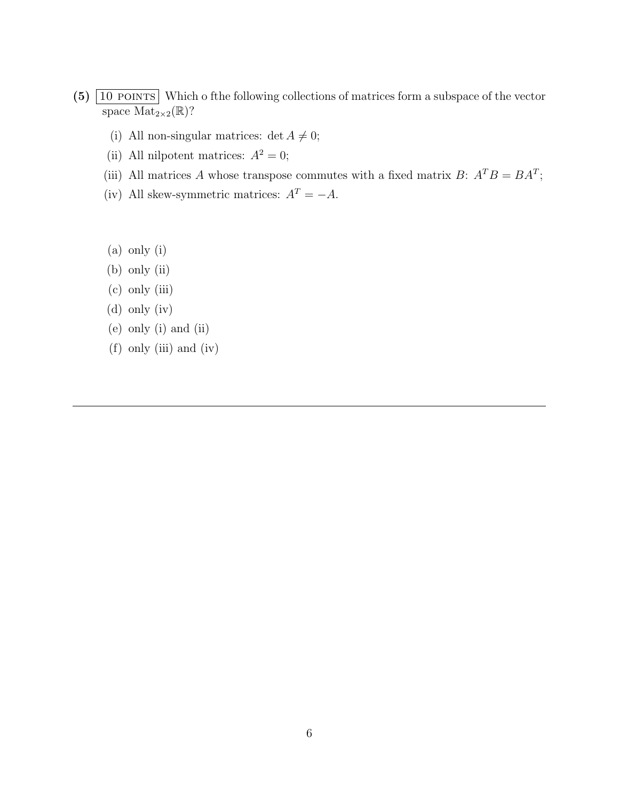- $(5)$   $\boxed{10 \text{ POINTS}}$  Which o fthe following collections of matrices form a subspace of the vector space  $Mat_{2\times 2}(\mathbb{R})$ ?
	- (i) All non-singular matrices: det  $A \neq 0$ ;
	- (ii) All nilpotent matrices:  $A^2 = 0$ ;
	- (iii) All matrices A whose transpose commutes with a fixed matrix  $B: A<sup>T</sup>B = BA<sup>T</sup>$ ;
	- (iv) All skew-symmetric matrices:  $A<sup>T</sup> = -A$ .
	- (a) only (i)
	- (b) only (ii)
	- (c) only (iii)
	- (d) only (iv)
	- (e) only (i) and (ii)
	- (f) only (iii) and (iv)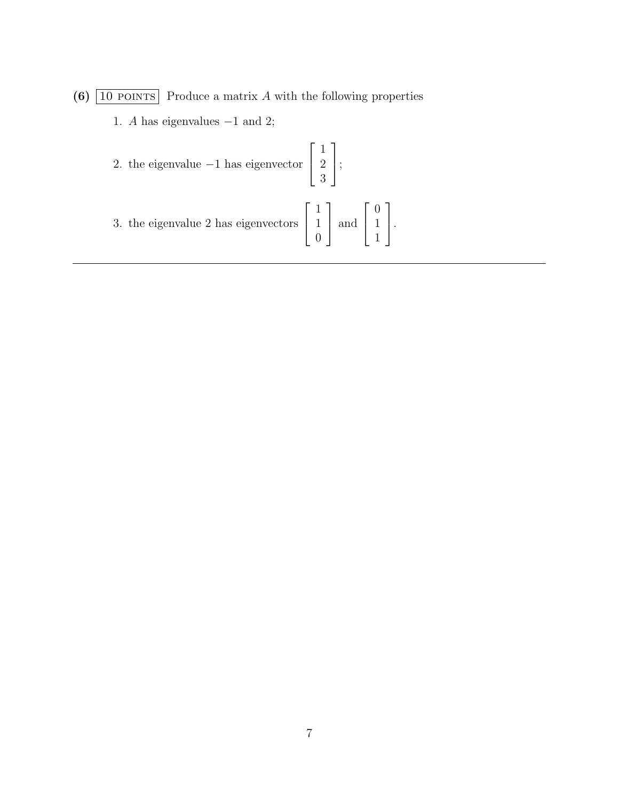- (6)  $\boxed{10 \text{ POINTS}}$  Produce a matrix A with the following properties
	- 1. A has eigenvalues  $-1$  and 2;

2. the eigenvalue 
$$
-1
$$
 has eigenvector  $\begin{bmatrix} 1 \\ 2 \\ 3 \end{bmatrix}$ ;  
3. the eigenvalue 2 has eigenvectors  $\begin{bmatrix} 1 \\ 1 \\ 0 \end{bmatrix}$  and  $\begin{bmatrix} 0 \\ 1 \\ 1 \end{bmatrix}$ .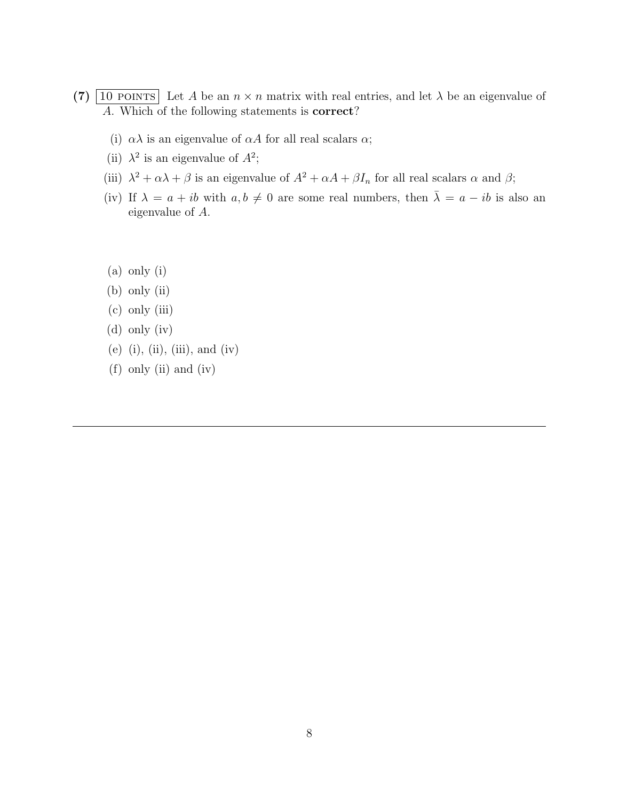- (7)  $\boxed{10 \text{ POINTS}}$  Let A be an  $n \times n$  matrix with real entries, and let  $\lambda$  be an eigenvalue of A. Which of the following statements is correct?
	- (i)  $\alpha\lambda$  is an eigenvalue of  $\alpha A$  for all real scalars  $\alpha$ ;
	- (ii)  $\lambda^2$  is an eigenvalue of  $A^2$ ;
	- (iii)  $\lambda^2 + \alpha \lambda + \beta$  is an eigenvalue of  $A^2 + \alpha A + \beta I_n$  for all real scalars  $\alpha$  and  $\beta$ ;
	- (iv) If  $\lambda = a + ib$  with  $a, b \neq 0$  are some real numbers, then  $\overline{\lambda} = a ib$  is also an eigenvalue of A.
	- (a) only (i)
	- (b) only (ii)
	- (c) only (iii)
	- (d) only (iv)
	- (e) (i), (ii), (iii), and (iv)
	- (f) only (ii) and (iv)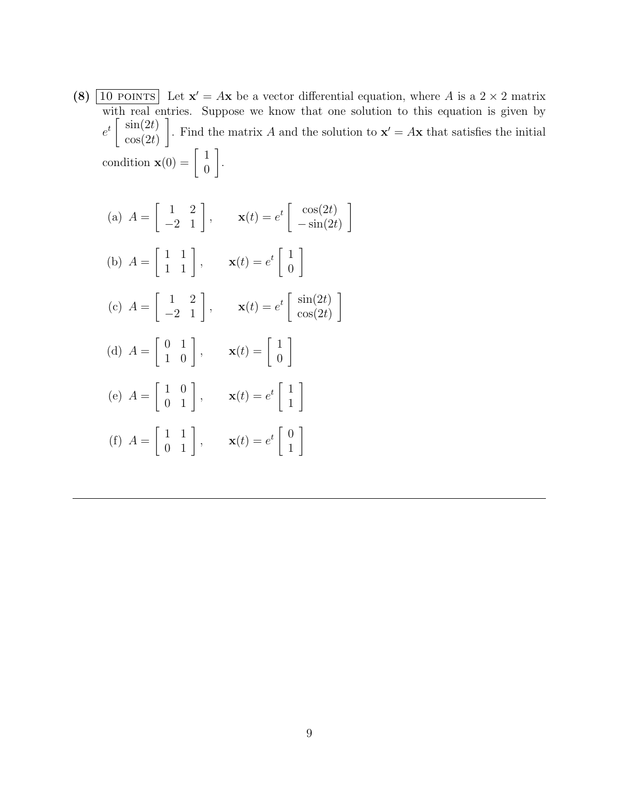(8)  $\boxed{10 \text{ POINTS}}$  Let  $\mathbf{x}' = A\mathbf{x}$  be a vector differential equation, where A is a 2 × 2 matrix with real entries. Suppose we know that one solution to this equation is given by  $e^t \left[ \sin(2t) \atop \cos(2t) \right]$  $cos(2t)$ 1 . Find the matrix A and the solution to  $\mathbf{x}' = A\mathbf{x}$  that satisfies the initial condition  $\mathbf{x}(0) = \begin{bmatrix} 1 \\ 0 \end{bmatrix}$  $\overline{0}$ 1 .

(a) 
$$
A = \begin{bmatrix} 1 & 2 \\ -2 & 1 \end{bmatrix}
$$
,  $\mathbf{x}(t) = e^t \begin{bmatrix} \cos(2t) \\ -\sin(2t) \end{bmatrix}$   
\n(b)  $A = \begin{bmatrix} 1 & 1 \\ 1 & 1 \end{bmatrix}$ ,  $\mathbf{x}(t) = e^t \begin{bmatrix} 1 \\ 0 \end{bmatrix}$   
\n(c)  $A = \begin{bmatrix} 1 & 2 \\ -2 & 1 \end{bmatrix}$ ,  $\mathbf{x}(t) = e^t \begin{bmatrix} \sin(2t) \\ \cos(2t) \end{bmatrix}$   
\n(d)  $A = \begin{bmatrix} 0 & 1 \\ 1 & 0 \end{bmatrix}$ ,  $\mathbf{x}(t) = \begin{bmatrix} 1 \\ 0 \end{bmatrix}$   
\n(e)  $A = \begin{bmatrix} 1 & 0 \\ 0 & 1 \end{bmatrix}$ ,  $\mathbf{x}(t) = e^t \begin{bmatrix} 1 \\ 1 \end{bmatrix}$   
\n(f)  $A = \begin{bmatrix} 1 & 1 \\ 0 & 1 \end{bmatrix}$ ,  $\mathbf{x}(t) = e^t \begin{bmatrix} 0 \\ 1 \end{bmatrix}$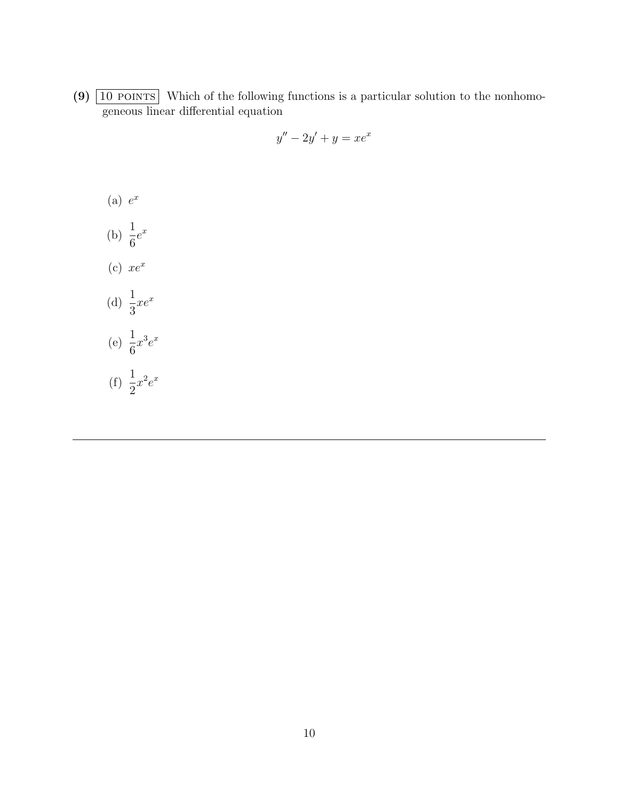(9)  $\boxed{10 \text{ POINTS}}$  Which of the following functions is a particular solution to the nonhomogeneous linear differential equation

$$
y'' - 2y' + y = xe^x
$$

- $(a) e^x$
- (b)  $\frac{1}{c}$ 6  $e^x$
- (c)  $xe^x$
- (d)  $\frac{1}{2}$ 3  $xe^{x}$
- (e)  $\frac{1}{c}$ 6  $x^3e^x$
- (f)  $\frac{1}{2}$ 2  $x^2e^x$